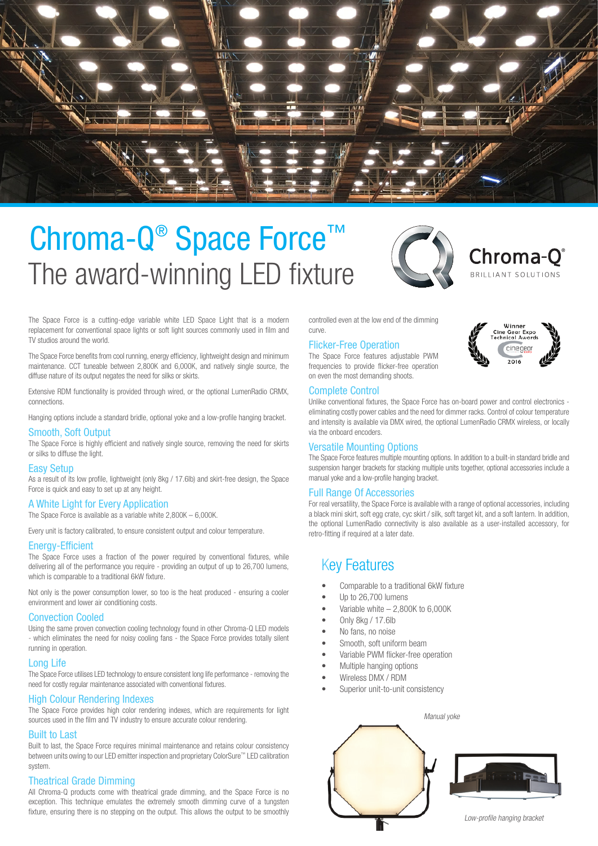

# The award-winning LED fixture Chroma-Q<sup>®</sup> Space Force<sup>™</sup>



Chroma-O® BRILLIANT SOLUTIONS

The Space Force is a cutting-edge variable white LED Space Light that is a modern replacement for conventional space lights or soft light sources commonly used in film and TV studios around the world.

The Space Force benefits from cool running, energy efficiency, lightweight design and minimum maintenance. CCT tuneable between 2,800K and 6,000K, and natively single source, the diffuse nature of its output negates the need for silks or skirts.

Extensive RDM functionality is provided through wired, or the optional LumenRadio CRMX, connections.

Hanging options include a standard bridle, optional yoke and a low-profile hanging bracket.

Smooth, Soft Output<br>The Space Force is highly efficient and natively single source, removing the need for skirts or silks to diffuse the light.

#### Easy Setup

As a result of its low profile, lightweight (only 8kg / 17.6lb) and skirt-free design, the Space Force is quick and easy to set up at any height.

#### A White Light for Every Application

The Space Force is available as a variable white 2,800K – 6,000K.

Every unit is factory calibrated, to ensure consistent output and colour temperature.

#### Energy-Efficient

The Space Force uses a fraction of the power required by conventional fixtures, while delivering all of the performance you require - providing an output of up to 26,700 lumens, which is comparable to a traditional 6kW fixture.

Not only is the power consumption lower, so too is the heat produced - ensuring a cooler environment and lower air conditioning costs.

#### Convection Cooled

Using the same proven convection cooling technology found in other Chroma-Q LED models - which eliminates the need for noisy cooling fans - the Space Force provides totally silent running in operation.

#### Long Life

The Space Force utilises LED technology to ensure consistent long life performance - removing the need for costly regular maintenance associated with conventional fixtures.

#### High Colour Rendering Indexes

The Space Force provides high color rendering indexes, which are requirements for light sources used in the film and TV industry to ensure accurate colour rendering.

#### Built to Last

Built to last, the Space Force requires minimal maintenance and retains colour consistency between units owing to our LED emitter inspection and proprietary ColorSure™ LED calibration system.

#### Theatrical Grade Dimming

All Chroma-Q products come with theatrical grade dimming, and the Space Force is no exception. This technique emulates the extremely smooth dimming curve of a tungsten fixture, ensuring there is no stepping on the output. This allows the output to be smoothly

controlled even at the low end of the dimming curve.

#### Flicker-Free Operation

The Space Force features adjustable PWM frequencies to provide flicker-free operation on even the most demanding shoots.

#### Complete Control

Unlike conventional fixtures, the Space Force has on-board power and control electronics eliminating costly power cables and the need for dimmer racks. Control of colour temperature and intensity is available via DMX wired, the optional LumenRadio CRMX wireless, or locally via the onboard encoders.

#### Versatile Mounting Options

The Space Force features multiple mounting options. In addition to a built-in standard bridle and suspension hanger brackets for stacking multiple units together, optional accessories include a manual yoke and a low-profile hanging bracket.

#### Full Range Of Accessories

For real versatility, the Space Force is available with a range of optional accessories, including a black mini skirt, soft egg crate, cyc skirt / silk, soft target kit, and a soft lantern. In addition, the optional LumenRadio connectivity is also available as a user-installed accessory, for retro-fitting if required at a later date.

### Key Features

- Comparable to a traditional 6kW fixture
- Up to 26,700 lumens
- Variable white  $2,800K$  to 6,000K
- Only 8kg / 17.6lb
- No fans, no noise
- Smooth, soft uniform beam
- Variable PWM flicker-free operation
- Multiple hanging options
- Wireless DMX / RDM
- Superior unit-to-unit consistency